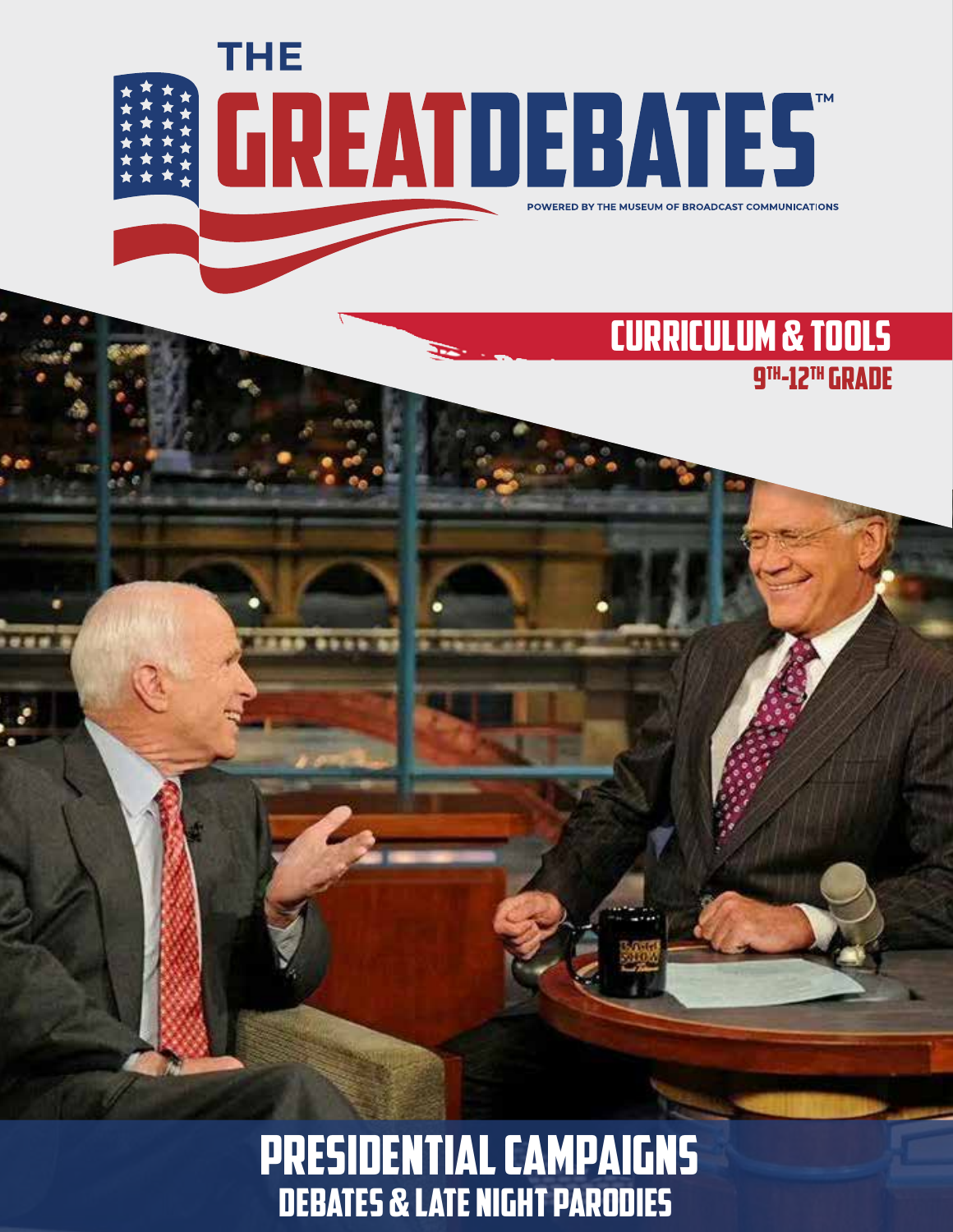

....

### CURRICULUM & TOOLS 9th-12th Grade

# Presidential Campaigns Debates & Late Night Parodies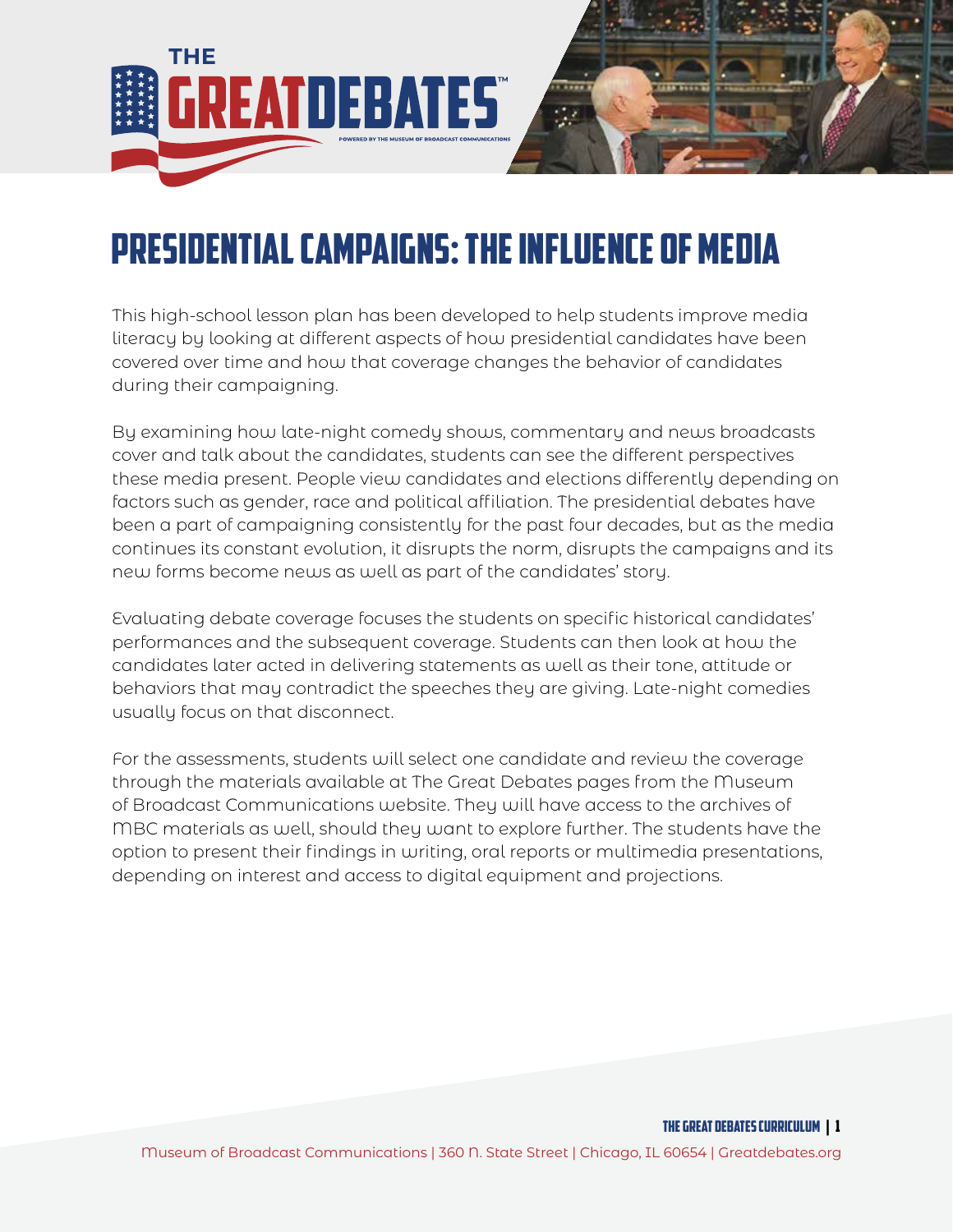

# Presidential Campaigns: The Influence of Media

This high-school lesson plan has been developed to help students improve media literacy by looking at different aspects of how presidential candidates have been covered over time and how that coverage changes the behavior of candidates during their campaigning.

By examining how late-night comedy shows, commentary and news broadcasts cover and talk about the candidates, students can see the different perspectives these media present. People view candidates and elections differently depending on factors such as gender, race and political affiliation. The presidential debates have been a part of campaigning consistently for the past four decades, but as the media continues its constant evolution, it disrupts the norm, disrupts the campaigns and its new forms become news as well as part of the candidates' story.

Evaluating debate coverage focuses the students on specific historical candidates' performances and the subsequent coverage. Students can then look at how the candidates later acted in delivering statements as well as their tone, attitude or behaviors that may contradict the speeches they are giving. Late-night comedies usually focus on that disconnect.

For the assessments, students will select one candidate and review the coverage through the materials available at The Great Debates pages from the Museum of Broadcast Communications website. They will have access to the archives of MBC materials as well, should they want to explore further. The students have the option to present their findings in writing, oral reports or multimedia presentations, depending on interest and access to digital equipment and projections.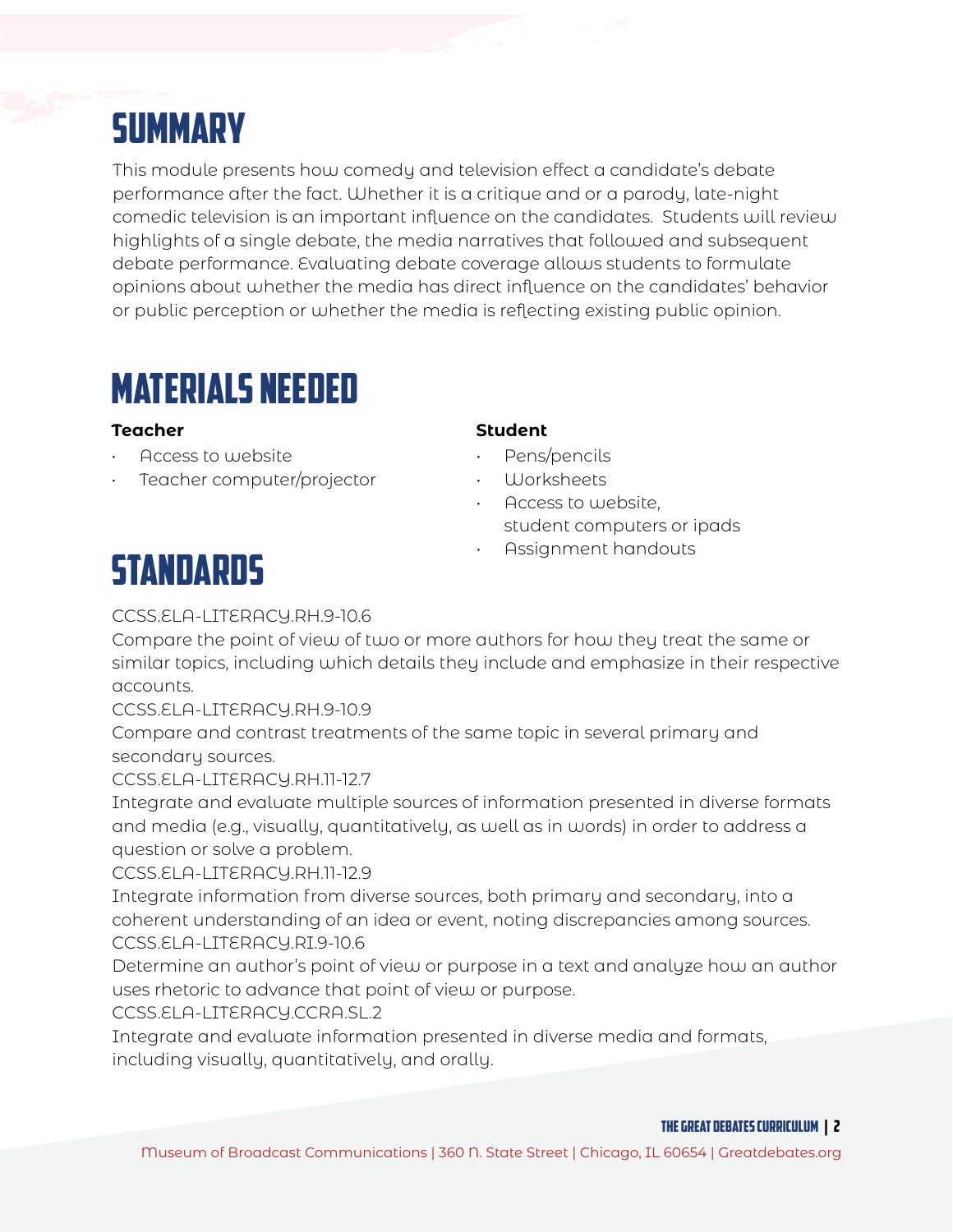# **SUMMARY**

This module presents how comedy and television effect a candidate's debate performance after the fact. Whether it is a critique and or a parody, late-night comedic television is an important influence on the candidates. Students will review highlights of a single debate, the media narratives that followed and subsequent debate performance. Evaluating debate coverage allows students to formulate opinions about whether the media has direct influence on the candidates' behavior or public perception or whether the media is reflecting existing public opinion.

## MATERIALS NEEDED

- Access to website
- Teacher computer/projector

### **Teacher Student**

- Pens/pencils
- Worksheets
- Access to website, student computers or ipads
- Assignment handouts

# **STANDARDS**

### CCSS.ELA-LITERACY.RH.9-10.6

Compare the point of view of two or more authors for how they treat the same or similar topics, including which details they include and emphasize in their respective accounts.

CCSS.ELA-LITERACY.RH.9-10.9

Compare and contrast treatments of the same topic in several primary and secondary sources.

CCSS.ELA-LITERACY.RH.11-12.7

Integrate and evaluate multiple sources of information presented in diverse formats and media (e.g., visually, quantitatively, as well as in words) in order to address a question or solve a problem.

CCSS.ELA-LITERACY.RH.11-12.9

Integrate information from diverse sources, both primary and secondary, into a coherent understanding of an idea or event, noting discrepancies among sources. CCSS.ELA-LITERACY.RI.9-10.6

Determine an author's point of view or purpose in a text and analyze how an author uses rhetoric to advance that point of view or purpose.

CCSS.ELA-LITERACY.CCRA.SL.2

Integrate and evaluate information presented in diverse media and formats, including visually, quantitatively, and orally.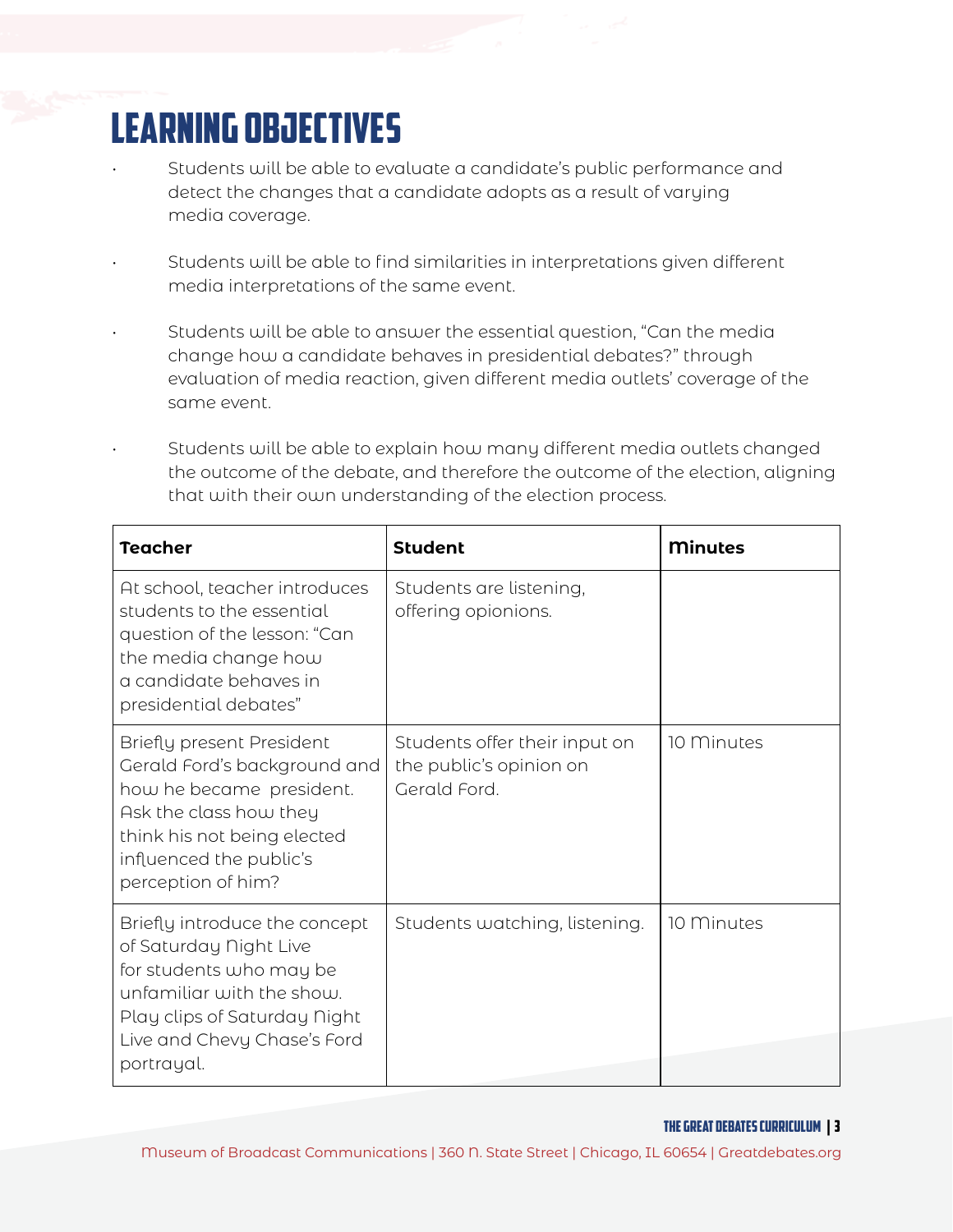# LEARNING OBJECTIVES

- Students will be able to evaluate a candidate's public performance and detect the changes that a candidate adopts as a result of varying media coverage.
- Students will be able to find similarities in interpretations given different media interpretations of the same event.
- Students will be able to answer the essential question, "Can the media change how a candidate behaves in presidential debates?" through evaluation of media reaction, given different media outlets' coverage of the same event.
- Students will be able to explain how many different media outlets changed the outcome of the debate, and therefore the outcome of the election, aligning that with their own understanding of the election process.

| <b>Teacher</b>                                                                                                                                                                                  | <b>Student</b>                                                           | <b>Minutes</b> |
|-------------------------------------------------------------------------------------------------------------------------------------------------------------------------------------------------|--------------------------------------------------------------------------|----------------|
| At school, teacher introduces<br>students to the essential<br>question of the lesson: "Can<br>the media change how<br>a candidate behaves in<br>presidential debates"                           | Students are listening,<br>offering opionions.                           |                |
| Briefly present President<br>Gerald Ford's background and<br>how he became president.<br>Ask the class how they<br>think his not being elected<br>influenced the public's<br>perception of him? | Students offer their input on<br>the public's opinion on<br>Gerald Ford. | 10 Minutes     |
| Briefly introduce the concept<br>of Saturday Night Live<br>for students who may be<br>unfamiliar with the show.<br>Play clips of Saturday Night<br>Live and Chevy Chase's Ford<br>portrayal.    | Students watching, listening.                                            | 10 Minutes     |

#### THE GREAT DEBATES curriculum | 3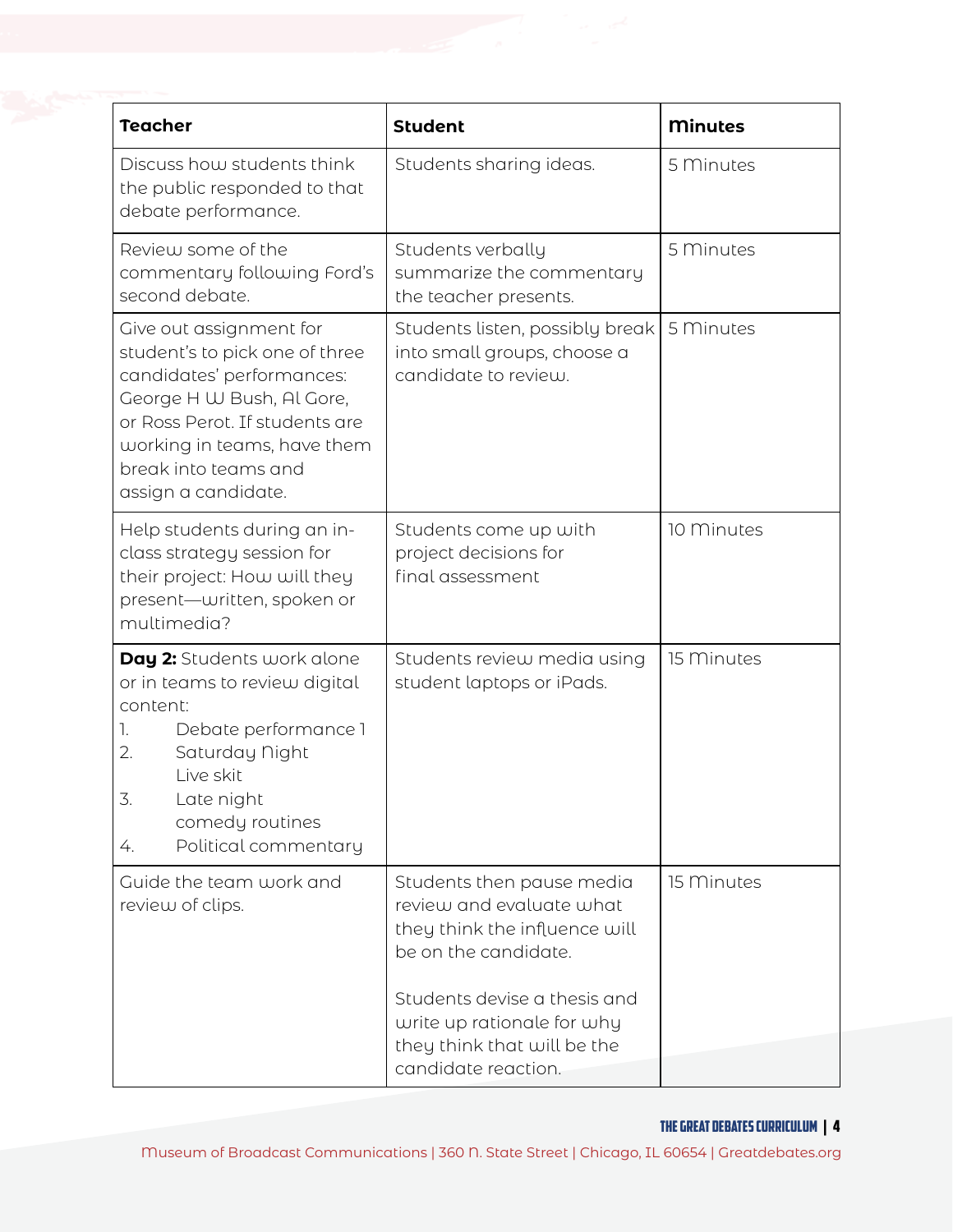| <b>Teacher</b>                                                                                                                                                                                                                      | <b>Student</b>                                                                                                                                                                                              | <b>Minutes</b> |
|-------------------------------------------------------------------------------------------------------------------------------------------------------------------------------------------------------------------------------------|-------------------------------------------------------------------------------------------------------------------------------------------------------------------------------------------------------------|----------------|
| Discuss how students think<br>the public responded to that<br>debate performance.                                                                                                                                                   | Students sharing ideas.                                                                                                                                                                                     | 5 Minutes      |
| Review some of the<br>commentary following Ford's<br>second debate.                                                                                                                                                                 | Students verbally<br>summarize the commentary<br>the teacher presents.                                                                                                                                      | 5 Minutes      |
| Give out assignment for<br>student's to pick one of three<br>candidates' performances:<br>George H W Bush, Al Gore,<br>or Ross Perot. If students are<br>working in teams, have them<br>break into teams and<br>assign a candidate. | Students listen, possibly break<br>into small groups, choose a<br>candidate to review.                                                                                                                      | 5 Minutes      |
| Help students during an in-<br>class strategy session for<br>their project: How will they<br>present-uritten, spoken or<br>multimedia?                                                                                              | Students come up with<br>project decisions for<br>final assessment                                                                                                                                          | 10 Minutes     |
| Day 2: Students work alone<br>or in teams to review digital<br>content:<br>Debate performance 1<br>1.<br>Saturday Night<br>2.<br>Live skit<br>3<br>Late night<br>comedy routines<br>Political commentary<br>4.                      | Students review media using<br>student laptops or iPads.                                                                                                                                                    | 15 Minutes     |
| Guide the team work and<br>review of clips.                                                                                                                                                                                         | Students then pause media<br>review and evaluate what<br>they think the influence will<br>be on the candidate.<br>Students devise a thesis and<br>write up rationale for why<br>they think that will be the | 15 Minutes     |
|                                                                                                                                                                                                                                     | candidate reaction.                                                                                                                                                                                         |                |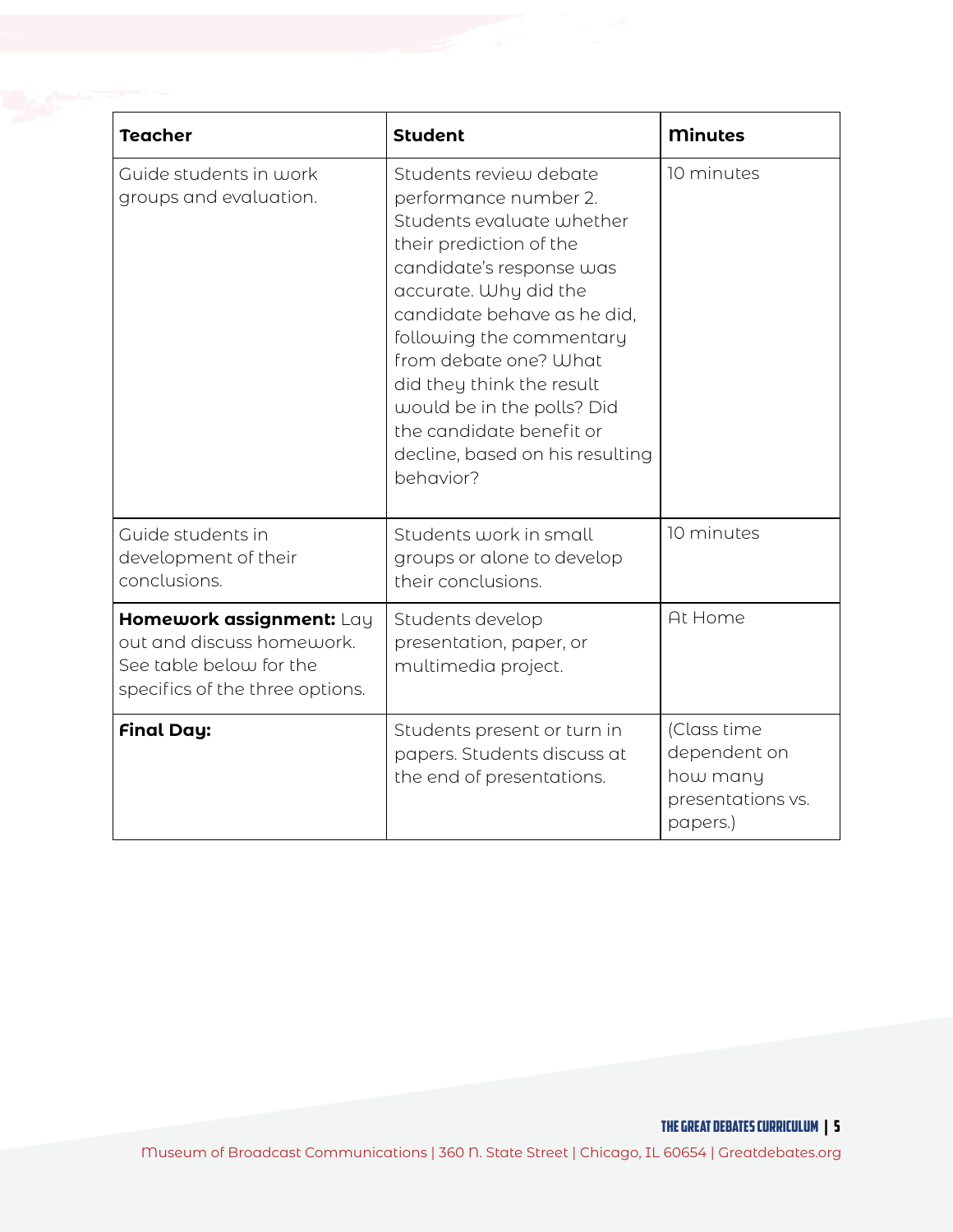| <b>Teacher</b>                                                                                                      | <b>Student</b>                                                                                                                                                                                                                                                                                                                                                                          | <b>Minutes</b>                                                           |
|---------------------------------------------------------------------------------------------------------------------|-----------------------------------------------------------------------------------------------------------------------------------------------------------------------------------------------------------------------------------------------------------------------------------------------------------------------------------------------------------------------------------------|--------------------------------------------------------------------------|
| Guide students in work<br>groups and evaluation.                                                                    | Students review debate<br>performance number 2.<br>Students evaluate whether<br>their prediction of the<br>candidate's response was<br>accurate. Why did the<br>candidate behave as he did,<br>following the commentary<br>from debate one? What<br>did they think the result<br>would be in the polls? Did<br>the candidate benefit or<br>decline, based on his resulting<br>behavior? | 10 minutes                                                               |
| Guide students in<br>development of their<br>conclusions.                                                           | Students work in small<br>groups or alone to develop<br>their conclusions.                                                                                                                                                                                                                                                                                                              | 10 minutes                                                               |
| Homework assignment: Lay<br>out and discuss homework.<br>See table below for the<br>specifics of the three options. | Students develop<br>presentation, paper, or<br>multimedia project.                                                                                                                                                                                                                                                                                                                      | At Home                                                                  |
| <b>Final Day:</b>                                                                                                   | Students present or turn in<br>papers. Students discuss at<br>the end of presentations.                                                                                                                                                                                                                                                                                                 | (Class time<br>dependent on<br>how many<br>presentations vs.<br>papers.) |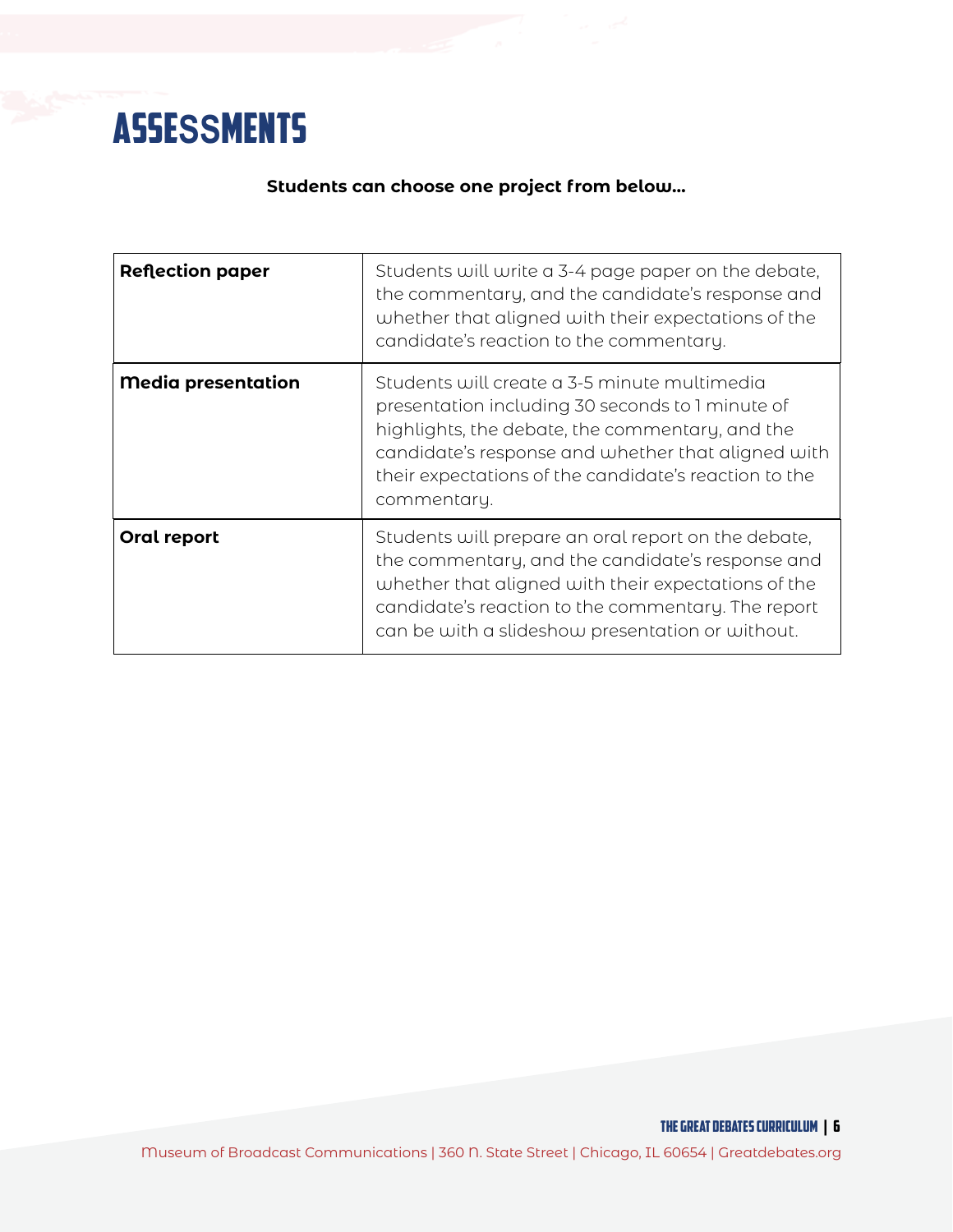

#### **Students can choose one project from below…**

| <b>Reflection paper</b>   | Students will write a 3-4 page paper on the debate,<br>the commentary, and the candidate's response and<br>whether that aligned with their expectations of the<br>candidate's reaction to the commentary.                                                                         |
|---------------------------|-----------------------------------------------------------------------------------------------------------------------------------------------------------------------------------------------------------------------------------------------------------------------------------|
| <b>Media presentation</b> | Students will create a 3-5 minute multimedia<br>presentation including 30 seconds to 1 minute of<br>highlights, the debate, the commentary, and the<br>candidate's response and whether that aligned with<br>their expectations of the candidate's reaction to the<br>commentary. |
| Oral report               | Students will prepare an oral report on the debate,<br>the commentary, and the candidate's response and<br>whether that aligned with their expectations of the<br>candidate's reaction to the commentary. The report<br>can be with a slideshow presentation or without.          |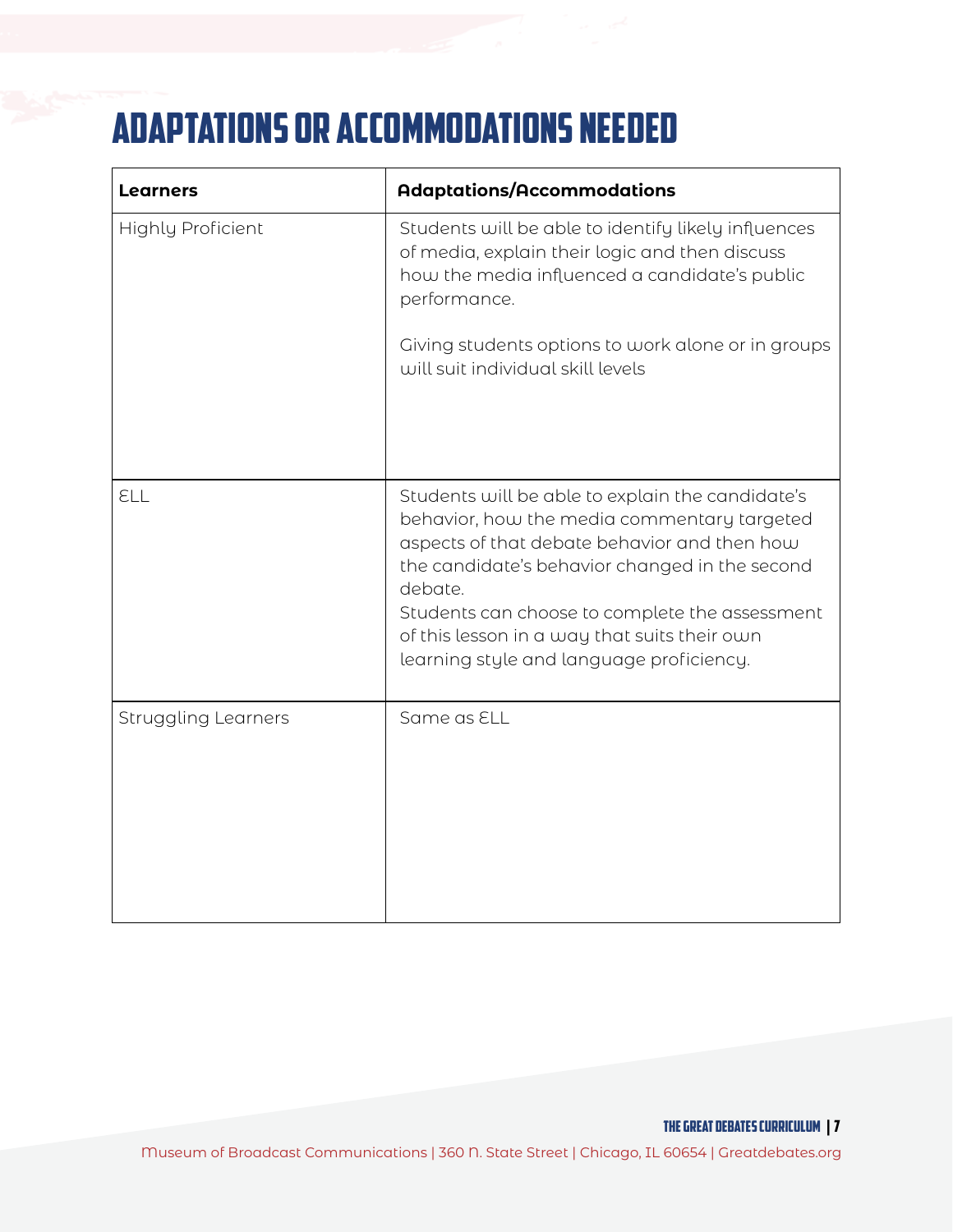# Adaptations or Accommodations needed

| <b>Learners</b>            | <b>Adaptations/Accommodations</b>                                                                                                                                                                                                                                                                                                                          |
|----------------------------|------------------------------------------------------------------------------------------------------------------------------------------------------------------------------------------------------------------------------------------------------------------------------------------------------------------------------------------------------------|
| <b>Highly Proficient</b>   | Students will be able to identify likely influences<br>of media, explain their logic and then discuss<br>how the media influenced a candidate's public<br>performance.                                                                                                                                                                                     |
|                            | Giving students options to work alone or in groups<br>will suit individual skill levels                                                                                                                                                                                                                                                                    |
| ELL                        | Students will be able to explain the candidate's<br>behavior, how the media commentary targeted<br>aspects of that debate behavior and then how<br>the candidate's behavior changed in the second<br>debate.<br>Students can choose to complete the assessment<br>of this lesson in a way that suits their own<br>learning style and language proficiency. |
| <b>Struggling Learners</b> | Same as ELL                                                                                                                                                                                                                                                                                                                                                |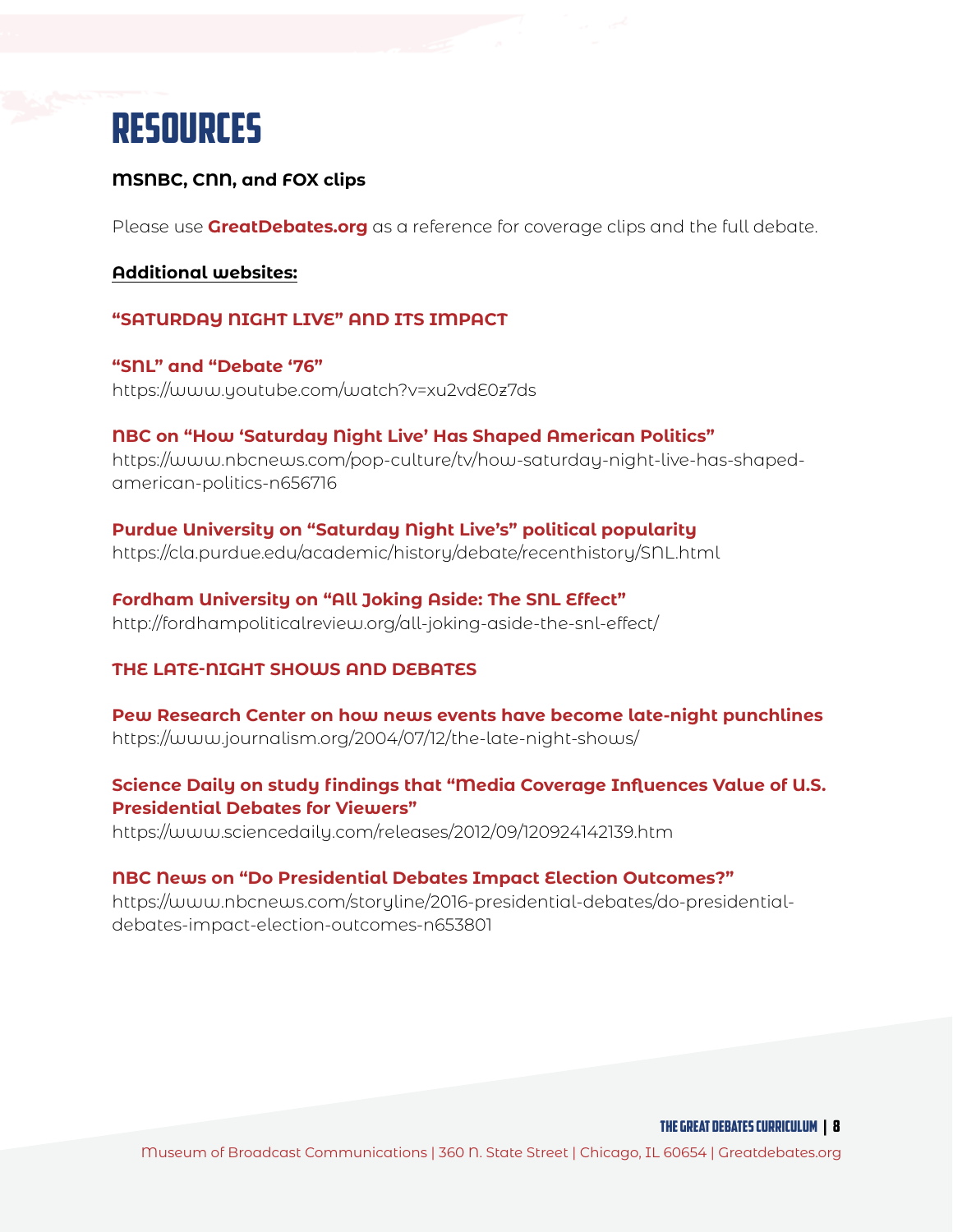

#### **MSNBC, CNN, and FOX clips**

Please use **[GreatDebates.org](https://www.greatdebates.org)** as a reference for coverage clips and the full debate.

#### **Additional websites:**

#### **"SATURDAY NIGHT LIVE" AND ITS IMPACT**

**"SNL" and "Debate '76"** https://www.youtube.com/watch?v=xu2vdE0z7ds

**NBC on "How 'Saturday Night Live' Has Shaped American Politics"** https://www.nbcnews.com/pop-culture/tv/how-saturday-night-live-has-shapedamerican-politics-n656716

**Purdue University on "Saturday Night Live's" political popularity** https://cla.purdue.edu/academic/history/debate/recenthistory/SNL.html

**Fordham University on "All Joking Aside: The SNL Effect"** http://fordhampoliticalreview.org/all-joking-aside-the-snl-effect/

#### **THE LATE-NIGHT SHOWS AND DEBATES**

**Pew Research Center on how news events have become late-night punchlines** https://www.journalism.org/2004/07/12/the-late-night-shows/

#### **Science Daily on study findings that "Media Coverage Influences Value of U.S. Presidential Debates for Viewers"**

https://www.sciencedaily.com/releases/2012/09/120924142139.htm

#### **NBC News on "Do Presidential Debates Impact Election Outcomes?"**

https://www.nbcnews.com/storyline/2016-presidential-debates/do-presidentialdebates-impact-election-outcomes-n653801

THE GREAT DEBATES curriculum | 8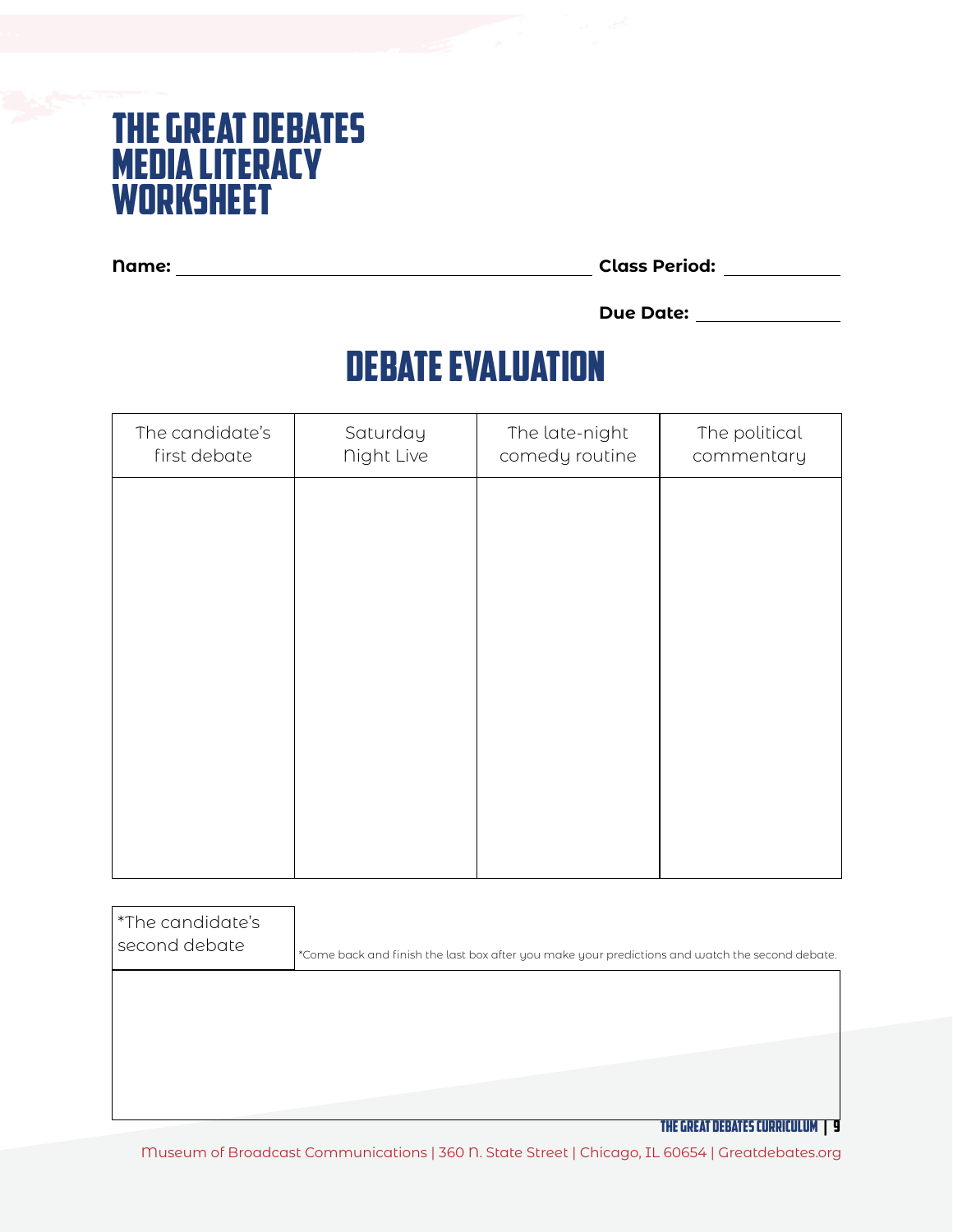### The Great Debates Media Literacy worksheet

**Name: Class Period:**

**Due Date:**

# debate evaluation

| The candidate's<br>first debate | Saturday<br><b>Night Live</b> | The late-night<br>comedy routine | The political<br>commentary |
|---------------------------------|-------------------------------|----------------------------------|-----------------------------|
|                                 |                               |                                  |                             |
|                                 |                               |                                  |                             |
|                                 |                               |                                  |                             |
|                                 |                               |                                  |                             |
|                                 |                               |                                  |                             |
|                                 |                               |                                  |                             |
|                                 |                               |                                  |                             |

| *The candidate's<br>second debate | *Come back and finish the last box after you make your predictions and watch the second debate. |
|-----------------------------------|-------------------------------------------------------------------------------------------------|
|                                   |                                                                                                 |
|                                   |                                                                                                 |

THE GREAT DEBATES curriculum | 9

Museum of Broadcast Communications | 360 N. State Street | Chicago, IL 60654 | Greatdebates.org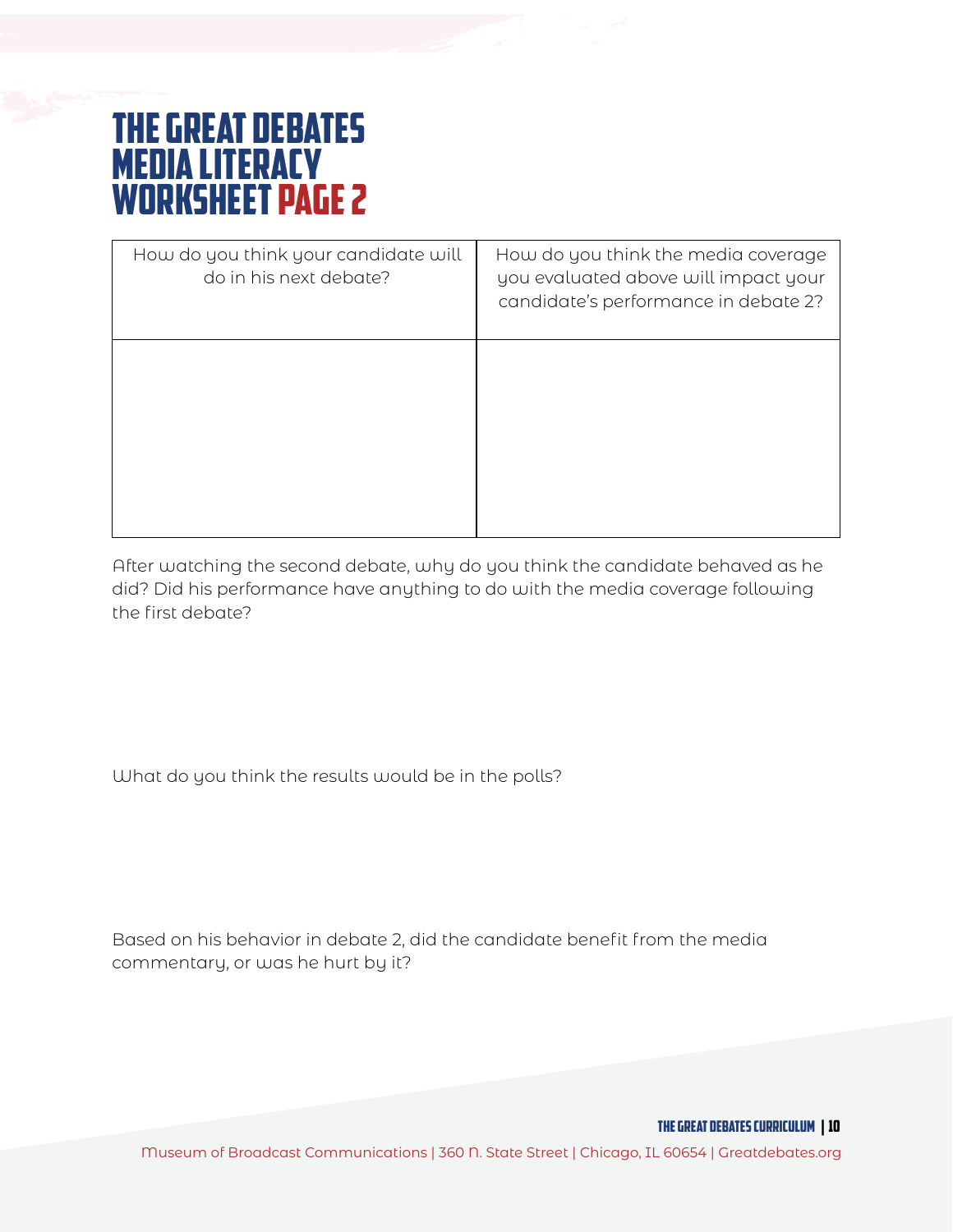## The Great Debates Media Literacy worksheet page 2

| How do you think your candidate will<br>do in his next debate? | How do you think the media coverage<br>you evaluated above will impact your<br>candidate's performance in debate 2? |
|----------------------------------------------------------------|---------------------------------------------------------------------------------------------------------------------|
|                                                                |                                                                                                                     |
|                                                                |                                                                                                                     |

After watching the second debate, why do you think the candidate behaved as he did? Did his performance have anything to do with the media coverage following the first debate?

What do you think the results would be in the polls?

Based on his behavior in debate 2, did the candidate benefit from the media commentary, or was he hurt by it?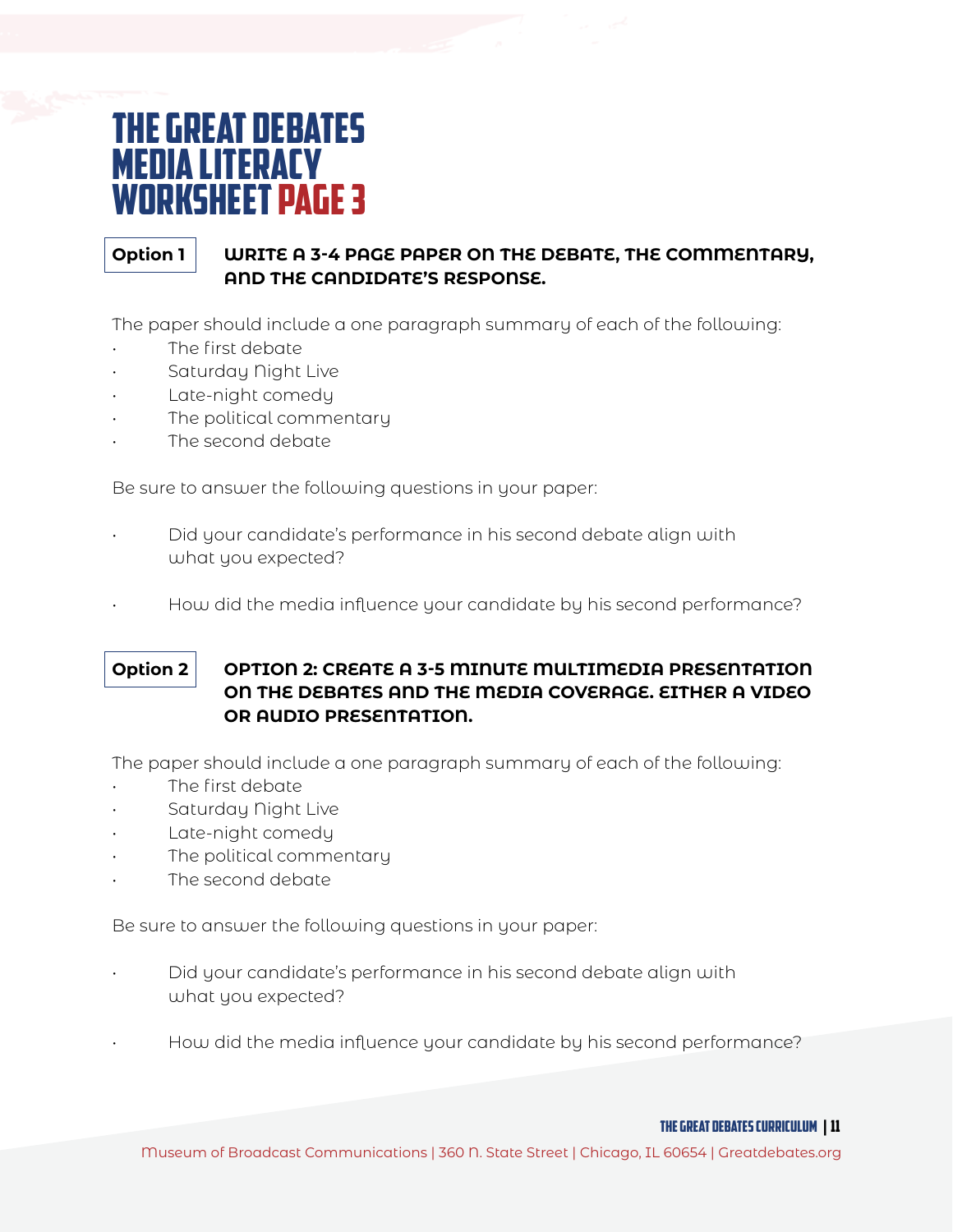### The Great Debates **MEDIA LITERACY** worksheet page 3

#### **Option 1 WRITE A 3-4 PAGE PAPER ON THE DEBATE, THE COMMENTARY, AND THE CANDIDATE'S RESPONSE.**

The paper should include a one paragraph summary of each of the following:

- The first debate
- Saturday Night Live
- Late-night comedy
- The political commentary
- The second debate

Be sure to answer the following questions in your paper:

- Did your candidate's performance in his second debate align with what you expected?
- How did the media influence your candidate by his second performance?

### **Option 2 OPTION 2: CREATE A 3-5 MINUTE MULTIMEDIA PRESENTATION ON THE DEBATES AND THE MEDIA COVERAGE. EITHER A VIDEO OR AUDIO PRESENTATION.**

The paper should include a one paragraph summary of each of the following:

- The first debate
- Saturday Night Live
- Late-night comedy
- The political commentary
- The second debate

Be sure to answer the following questions in your paper:

- Did your candidate's performance in his second debate align with what you expected?
- How did the media influence your candidate by his second performance?

THE GREAT DEBATES curriculum | 11